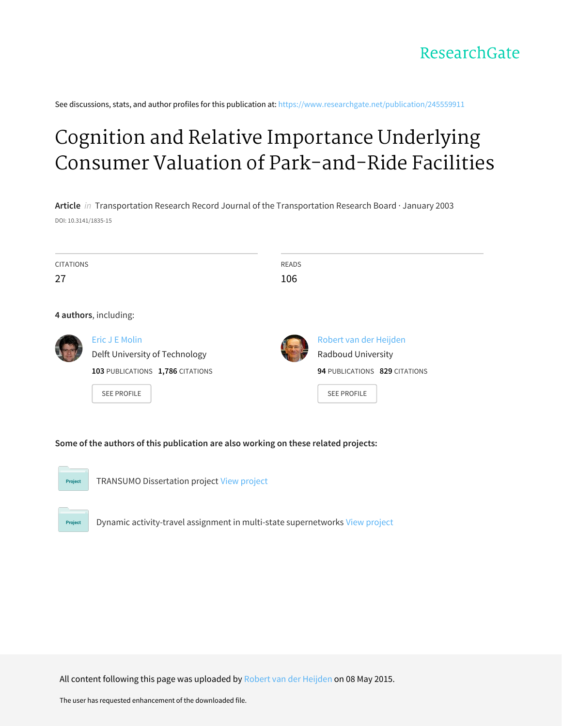See discussions, stats, and author profiles for this publication at: [https://www.researchgate.net/publication/245559911](https://www.researchgate.net/publication/245559911_Cognition_and_Relative_Importance_Underlying_Consumer_Valuation_of_Park-and-Ride_Facilities?enrichId=rgreq-1a5f954a1c9be74f1f23c350342bba25-XXX&enrichSource=Y292ZXJQYWdlOzI0NTU1OTkxMTtBUzoyMjY3NzU4NjgxNTM4NTZAMTQzMTA3ODk4ODI3OQ%3D%3D&el=1_x_2&_esc=publicationCoverPdf)

# Cognition and Relative Importance Underlying Consumer Valuation of [Park-and-Ride](https://www.researchgate.net/publication/245559911_Cognition_and_Relative_Importance_Underlying_Consumer_Valuation_of_Park-and-Ride_Facilities?enrichId=rgreq-1a5f954a1c9be74f1f23c350342bba25-XXX&enrichSource=Y292ZXJQYWdlOzI0NTU1OTkxMTtBUzoyMjY3NzU4NjgxNTM4NTZAMTQzMTA3ODk4ODI3OQ%3D%3D&el=1_x_3&_esc=publicationCoverPdf) Facilities

**Article** in Transportation Research Record Journal of the Transportation Research Board · January 2003 DOI: 10.3141/1835-15

| <b>CITATIONS</b> |                                  | <b>READS</b> |                               |
|------------------|----------------------------------|--------------|-------------------------------|
| 27               |                                  | 106          |                               |
|                  |                                  |              |                               |
|                  | 4 authors, including:            |              |                               |
|                  | Eric J E Molin                   |              | Robert van der Heijden        |
|                  | Delft University of Technology   |              | Radboud University            |
|                  | 103 PUBLICATIONS 1,786 CITATIONS |              | 94 PUBLICATIONS 829 CITATIONS |
|                  | <b>SEE PROFILE</b>               |              | <b>SEE PROFILE</b>            |

**Some of the authors of this publication are also working on these related projects:**



TRANSUMO Dissertation project View [project](https://www.researchgate.net/project/TRANSUMO-Dissertation-project?enrichId=rgreq-1a5f954a1c9be74f1f23c350342bba25-XXX&enrichSource=Y292ZXJQYWdlOzI0NTU1OTkxMTtBUzoyMjY3NzU4NjgxNTM4NTZAMTQzMTA3ODk4ODI3OQ%3D%3D&el=1_x_9&_esc=publicationCoverPdf)

Project

Dynamic activity-travel assignment in multi-state supernetworks View [project](https://www.researchgate.net/project/Dynamic-activity-travel-assignment-in-multi-state-supernetworks?enrichId=rgreq-1a5f954a1c9be74f1f23c350342bba25-XXX&enrichSource=Y292ZXJQYWdlOzI0NTU1OTkxMTtBUzoyMjY3NzU4NjgxNTM4NTZAMTQzMTA3ODk4ODI3OQ%3D%3D&el=1_x_9&_esc=publicationCoverPdf)

All content following this page was uploaded by Robert van der [Heijden](https://www.researchgate.net/profile/Robert_Heijden?enrichId=rgreq-1a5f954a1c9be74f1f23c350342bba25-XXX&enrichSource=Y292ZXJQYWdlOzI0NTU1OTkxMTtBUzoyMjY3NzU4NjgxNTM4NTZAMTQzMTA3ODk4ODI3OQ%3D%3D&el=1_x_10&_esc=publicationCoverPdf) on 08 May 2015.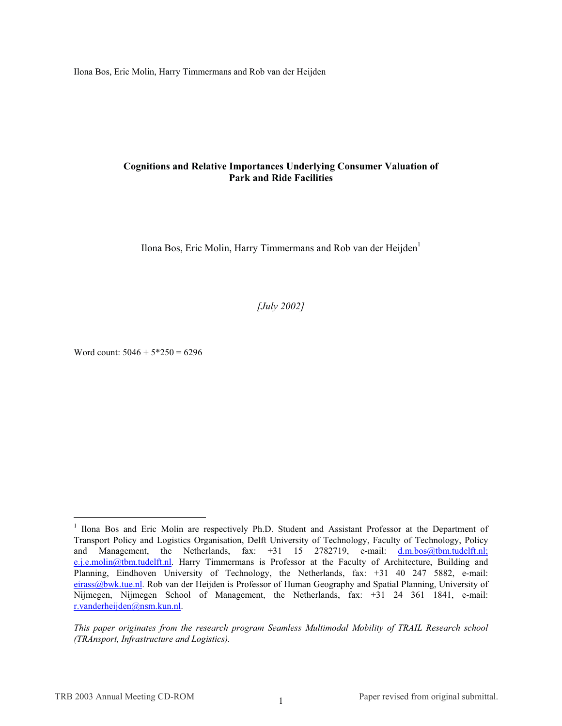## **Cognitions and Relative Importances Underlying Consumer Valuation of Park and Ride Facilities**

Ilona Bos, Eric Molin, Harry Timmermans and Rob van der Heijden<sup>1</sup>

*[July 2002]*

Word count:  $5046 + 5*250 = 6296$ 

 $\overline{\phantom{0}}$ 

<sup>&</sup>lt;sup>1</sup> Ilona Bos and Eric Molin are respectively Ph.D. Student and Assistant Professor at the Department of Transport Policy and Logistics Organisation, Delft University of Technology, Faculty of Technology, Policy and Management, the Netherlands, fax: +31 15 2782719, e-mail:  $d.m.bos@tbm.tudelft.nl;$ e.j.e.molin@tbm.tudelft.nl. Harry Timmermans is Professor at the Faculty of Architecture, Building and Planning, Eindhoven University of Technology, the Netherlands, fax: +31 40 247 5882, e-mail: eirass@bwk.tue.nl. Rob van der Heijden is Professor of Human Geography and Spatial Planning, University of Nijmegen, Nijmegen School of Management, the Netherlands, fax: +31 24 361 1841, e-mail: r.vanderheijden@nsm.kun.nl.

*This paper originates from the research program Seamless Multimodal Mobility of TRAIL Research school (TRAnsport, Infrastructure and Logistics).*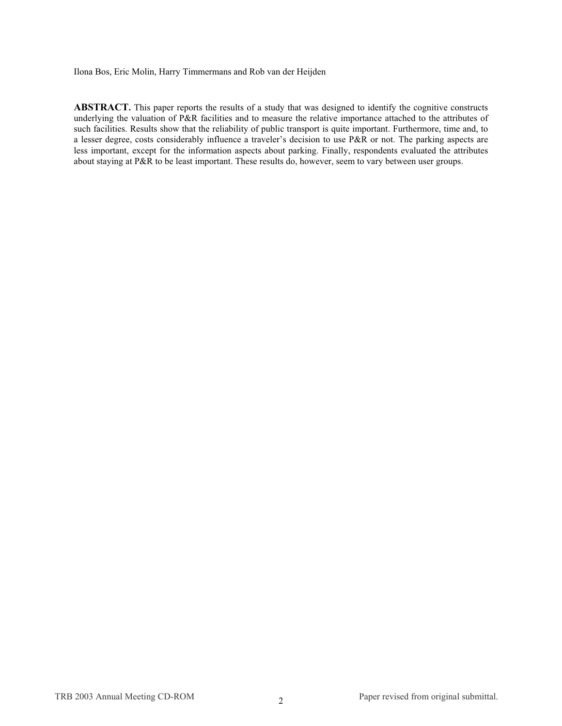**ABSTRACT.** This paper reports the results of a study that was designed to identify the cognitive constructs underlying the valuation of P&R facilities and to measure the relative importance attached to the attributes of such facilities. Results show that the reliability of public transport is quite important. Furthermore, time and, to a lesser degree, costs considerably influence a traveler's decision to use P&R or not. The parking aspects are less important, except for the information aspects about parking. Finally, respondents evaluated the attributes about staying at P&R to be least important. These results do, however, seem to vary between user groups.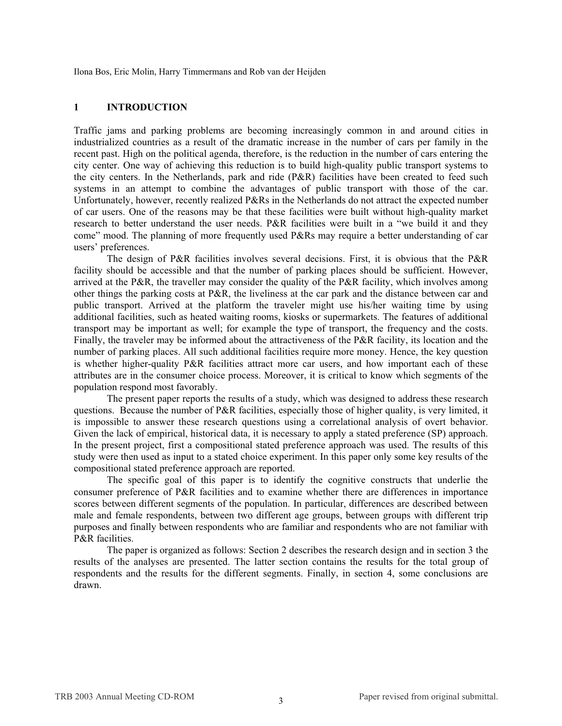## **1 INTRODUCTION**

Traffic jams and parking problems are becoming increasingly common in and around cities in industrialized countries as a result of the dramatic increase in the number of cars per family in the recent past. High on the political agenda, therefore, is the reduction in the number of cars entering the city center. One way of achieving this reduction is to build high-quality public transport systems to the city centers. In the Netherlands, park and ride (P&R) facilities have been created to feed such systems in an attempt to combine the advantages of public transport with those of the car. Unfortunately, however, recently realized P&Rs in the Netherlands do not attract the expected number of car users. One of the reasons may be that these facilities were built without high-quality market research to better understand the user needs. P&R facilities were built in a "we build it and they come" mood. The planning of more frequently used P&Rs may require a better understanding of car users' preferences.

The design of P&R facilities involves several decisions. First, it is obvious that the P&R facility should be accessible and that the number of parking places should be sufficient. However, arrived at the P&R, the traveller may consider the quality of the P&R facility, which involves among other things the parking costs at P&R, the liveliness at the car park and the distance between car and public transport. Arrived at the platform the traveler might use his/her waiting time by using additional facilities, such as heated waiting rooms, kiosks or supermarkets. The features of additional transport may be important as well; for example the type of transport, the frequency and the costs. Finally, the traveler may be informed about the attractiveness of the P&R facility, its location and the number of parking places. All such additional facilities require more money. Hence, the key question is whether higher-quality P&R facilities attract more car users, and how important each of these attributes are in the consumer choice process. Moreover, it is critical to know which segments of the population respond most favorably.

The present paper reports the results of a study, which was designed to address these research questions. Because the number of P&R facilities, especially those of higher quality, is very limited, it is impossible to answer these research questions using a correlational analysis of overt behavior. Given the lack of empirical, historical data, it is necessary to apply a stated preference (SP) approach. In the present project, first a compositional stated preference approach was used. The results of this study were then used as input to a stated choice experiment. In this paper only some key results of the compositional stated preference approach are reported.

The specific goal of this paper is to identify the cognitive constructs that underlie the consumer preference of P&R facilities and to examine whether there are differences in importance scores between different segments of the population. In particular, differences are described between male and female respondents, between two different age groups, between groups with different trip purposes and finally between respondents who are familiar and respondents who are not familiar with P&R facilities.

The paper is organized as follows: Section 2 describes the research design and in section 3 the results of the analyses are presented. The latter section contains the results for the total group of respondents and the results for the different segments. Finally, in section 4, some conclusions are drawn.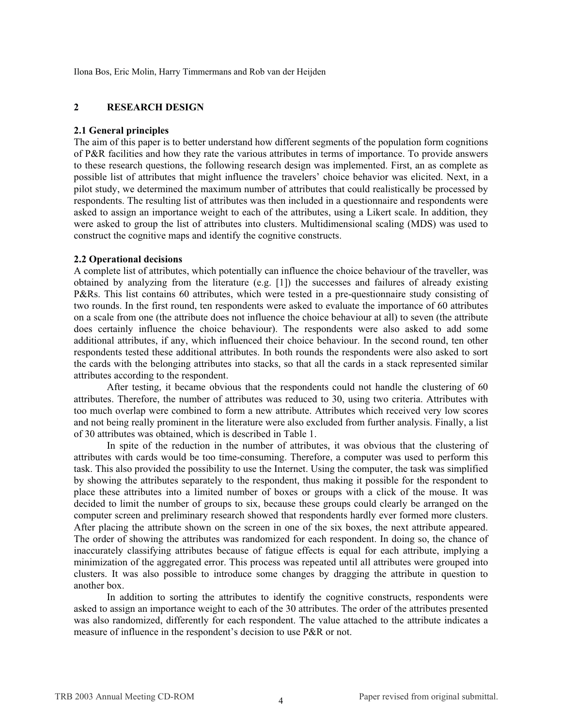### **2 RESEARCH DESIGN**

#### **2.1 General principles**

The aim of this paper is to better understand how different segments of the population form cognitions of P&R facilities and how they rate the various attributes in terms of importance. To provide answers to these research questions, the following research design was implemented. First, an as complete as possible list of attributes that might influence the travelers' choice behavior was elicited. Next, in a pilot study, we determined the maximum number of attributes that could realistically be processed by respondents. The resulting list of attributes was then included in a questionnaire and respondents were asked to assign an importance weight to each of the attributes, using a Likert scale. In addition, they were asked to group the list of attributes into clusters. Multidimensional scaling (MDS) was used to construct the cognitive maps and identify the cognitive constructs.

#### **2.2 Operational decisions**

A complete list of attributes, which potentially can influence the choice behaviour of the traveller, was obtained by analyzing from the literature (e.g. [1]) the successes and failures of already existing P&Rs. This list contains 60 attributes, which were tested in a pre-questionnaire study consisting of two rounds. In the first round, ten respondents were asked to evaluate the importance of 60 attributes on a scale from one (the attribute does not influence the choice behaviour at all) to seven (the attribute does certainly influence the choice behaviour). The respondents were also asked to add some additional attributes, if any, which influenced their choice behaviour. In the second round, ten other respondents tested these additional attributes. In both rounds the respondents were also asked to sort the cards with the belonging attributes into stacks, so that all the cards in a stack represented similar attributes according to the respondent.

After testing, it became obvious that the respondents could not handle the clustering of 60 attributes. Therefore, the number of attributes was reduced to 30, using two criteria. Attributes with too much overlap were combined to form a new attribute. Attributes which received very low scores and not being really prominent in the literature were also excluded from further analysis. Finally, a list of 30 attributes was obtained, which is described in Table 1.

In spite of the reduction in the number of attributes, it was obvious that the clustering of attributes with cards would be too time-consuming. Therefore, a computer was used to perform this task. This also provided the possibility to use the Internet. Using the computer, the task was simplified by showing the attributes separately to the respondent, thus making it possible for the respondent to place these attributes into a limited number of boxes or groups with a click of the mouse. It was decided to limit the number of groups to six, because these groups could clearly be arranged on the computer screen and preliminary research showed that respondents hardly ever formed more clusters. After placing the attribute shown on the screen in one of the six boxes, the next attribute appeared. The order of showing the attributes was randomized for each respondent. In doing so, the chance of inaccurately classifying attributes because of fatigue effects is equal for each attribute, implying a minimization of the aggregated error. This process was repeated until all attributes were grouped into clusters. It was also possible to introduce some changes by dragging the attribute in question to another box.

In addition to sorting the attributes to identify the cognitive constructs, respondents were asked to assign an importance weight to each of the 30 attributes. The order of the attributes presented was also randomized, differently for each respondent. The value attached to the attribute indicates a measure of influence in the respondent's decision to use P&R or not.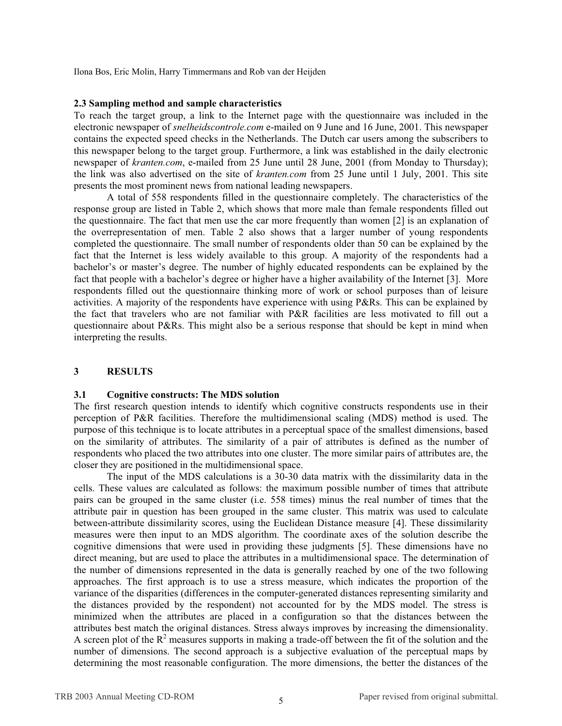#### **2.3 Sampling method and sample characteristics**

To reach the target group, a link to the Internet page with the questionnaire was included in the electronic newspaper of *snelheidscontrole.com* e-mailed on 9 June and 16 June, 2001. This newspaper contains the expected speed checks in the Netherlands. The Dutch car users among the subscribers to this newspaper belong to the target group. Furthermore, a link was established in the daily electronic newspaper of *kranten.com*, e-mailed from 25 June until 28 June, 2001 (from Monday to Thursday); the link was also advertised on the site of *kranten.com* from 25 June until 1 July, 2001. This site presents the most prominent news from national leading newspapers.

A total of 558 respondents filled in the questionnaire completely. The characteristics of the response group are listed in Table 2, which shows that more male than female respondents filled out the questionnaire. The fact that men use the car more frequently than women [2] is an explanation of the overrepresentation of men. Table 2 also shows that a larger number of young respondents completed the questionnaire. The small number of respondents older than 50 can be explained by the fact that the Internet is less widely available to this group. A majority of the respondents had a bachelor's or master's degree. The number of highly educated respondents can be explained by the fact that people with a bachelor's degree or higher have a higher availability of the Internet [3]. More respondents filled out the questionnaire thinking more of work or school purposes than of leisure activities. A majority of the respondents have experience with using P&Rs. This can be explained by the fact that travelers who are not familiar with P&R facilities are less motivated to fill out a questionnaire about P&Rs. This might also be a serious response that should be kept in mind when interpreting the results.

#### **3 RESULTS**

#### **3.1 Cognitive constructs: The MDS solution**

The first research question intends to identify which cognitive constructs respondents use in their perception of P&R facilities. Therefore the multidimensional scaling (MDS) method is used. The purpose of this technique is to locate attributes in a perceptual space of the smallest dimensions, based on the similarity of attributes. The similarity of a pair of attributes is defined as the number of respondents who placed the two attributes into one cluster. The more similar pairs of attributes are, the closer they are positioned in the multidimensional space.

The input of the MDS calculations is a 30-30 data matrix with the dissimilarity data in the cells. These values are calculated as follows: the maximum possible number of times that attribute pairs can be grouped in the same cluster (i.e. 558 times) minus the real number of times that the attribute pair in question has been grouped in the same cluster. This matrix was used to calculate between-attribute dissimilarity scores, using the Euclidean Distance measure [4]. These dissimilarity measures were then input to an MDS algorithm. The coordinate axes of the solution describe the cognitive dimensions that were used in providing these judgments [5]. These dimensions have no direct meaning, but are used to place the attributes in a multidimensional space. The determination of the number of dimensions represented in the data is generally reached by one of the two following approaches. The first approach is to use a stress measure, which indicates the proportion of the variance of the disparities (differences in the computer-generated distances representing similarity and the distances provided by the respondent) not accounted for by the MDS model. The stress is minimized when the attributes are placed in a configuration so that the distances between the attributes best match the original distances. Stress always improves by increasing the dimensionality. A screen plot of the  $R^2$  measures supports in making a trade-off between the fit of the solution and the number of dimensions. The second approach is a subjective evaluation of the perceptual maps by determining the most reasonable configuration. The more dimensions, the better the distances of the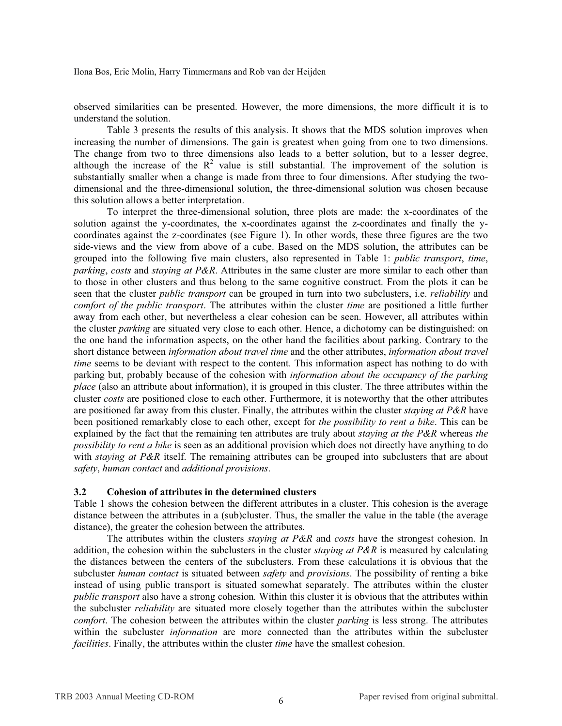observed similarities can be presented. However, the more dimensions, the more difficult it is to understand the solution.

Table 3 presents the results of this analysis. It shows that the MDS solution improves when increasing the number of dimensions. The gain is greatest when going from one to two dimensions. The change from two to three dimensions also leads to a better solution, but to a lesser degree, although the increase of the  $R^2$  value is still substantial. The improvement of the solution is substantially smaller when a change is made from three to four dimensions. After studying the twodimensional and the three-dimensional solution, the three-dimensional solution was chosen because this solution allows a better interpretation.

To interpret the three-dimensional solution, three plots are made: the x-coordinates of the solution against the y-coordinates, the x-coordinates against the z-coordinates and finally the ycoordinates against the z-coordinates (see Figure 1). In other words, these three figures are the two side-views and the view from above of a cube. Based on the MDS solution, the attributes can be grouped into the following five main clusters, also represented in Table 1: *public transport*, *time*, *parking*, *costs* and *staying at P&R*. Attributes in the same cluster are more similar to each other than to those in other clusters and thus belong to the same cognitive construct. From the plots it can be seen that the cluster *public transport* can be grouped in turn into two subclusters, i.e. *reliability* and *comfort of the public transport*. The attributes within the cluster *time* are positioned a little further away from each other, but nevertheless a clear cohesion can be seen. However, all attributes within the cluster *parking* are situated very close to each other. Hence, a dichotomy can be distinguished: on the one hand the information aspects, on the other hand the facilities about parking. Contrary to the short distance between *information about travel time* and the other attributes, *information about travel time* seems to be deviant with respect to the content. This information aspect has nothing to do with parking but, probably because of the cohesion with *information about the occupancy of the parking place* (also an attribute about information), it is grouped in this cluster. The three attributes within the cluster *costs* are positioned close to each other. Furthermore, it is noteworthy that the other attributes are positioned far away from this cluster. Finally, the attributes within the cluster *staying at P&R* have been positioned remarkably close to each other, except for *the possibility to rent a bike*. This can be explained by the fact that the remaining ten attributes are truly about *staying at the P&R* whereas *the possibility to rent a bike* is seen as an additional provision which does not directly have anything to do with *staying at P&R* itself. The remaining attributes can be grouped into subclusters that are about *safety*, *human contact* and *additional provisions*.

#### **3.2 Cohesion of attributes in the determined clusters**

Table 1 shows the cohesion between the different attributes in a cluster. This cohesion is the average distance between the attributes in a (sub)cluster. Thus, the smaller the value in the table (the average distance), the greater the cohesion between the attributes.

The attributes within the clusters *staying at P&R* and *costs* have the strongest cohesion. In addition, the cohesion within the subclusters in the cluster *staying at P&R* is measured by calculating the distances between the centers of the subclusters. From these calculations it is obvious that the subcluster *human contact* is situated between *safety* and *provisions*. The possibility of renting a bike instead of using public transport is situated somewhat separately. The attributes within the cluster *public transport* also have a strong cohesion*.* Within this cluster it is obvious that the attributes within the subcluster *reliability* are situated more closely together than the attributes within the subcluster *comfort*. The cohesion between the attributes within the cluster *parking* is less strong. The attributes within the subcluster *information* are more connected than the attributes within the subcluster *facilities*. Finally, the attributes within the cluster *time* have the smallest cohesion.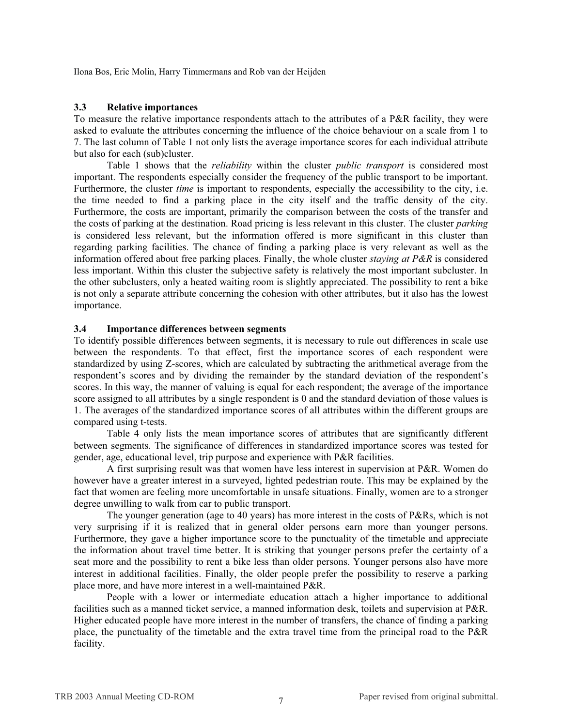## **3.3 Relative importances**

To measure the relative importance respondents attach to the attributes of a P&R facility, they were asked to evaluate the attributes concerning the influence of the choice behaviour on a scale from 1 to 7. The last column of Table 1 not only lists the average importance scores for each individual attribute but also for each (sub)cluster.

Table 1 shows that the *reliability* within the cluster *public transport* is considered most important. The respondents especially consider the frequency of the public transport to be important. Furthermore, the cluster *time* is important to respondents, especially the accessibility to the city, i.e. the time needed to find a parking place in the city itself and the traffic density of the city. Furthermore, the costs are important, primarily the comparison between the costs of the transfer and the costs of parking at the destination. Road pricing is less relevant in this cluster. The cluster *parking* is considered less relevant, but the information offered is more significant in this cluster than regarding parking facilities. The chance of finding a parking place is very relevant as well as the information offered about free parking places. Finally, the whole cluster *staying at P&R* is considered less important. Within this cluster the subjective safety is relatively the most important subcluster. In the other subclusters, only a heated waiting room is slightly appreciated. The possibility to rent a bike is not only a separate attribute concerning the cohesion with other attributes, but it also has the lowest importance.

## **3.4 Importance differences between segments**

To identify possible differences between segments, it is necessary to rule out differences in scale use between the respondents. To that effect, first the importance scores of each respondent were standardized by using Z-scores, which are calculated by subtracting the arithmetical average from the respondent's scores and by dividing the remainder by the standard deviation of the respondent's scores. In this way, the manner of valuing is equal for each respondent; the average of the importance score assigned to all attributes by a single respondent is 0 and the standard deviation of those values is 1. The averages of the standardized importance scores of all attributes within the different groups are compared using t-tests.

Table 4 only lists the mean importance scores of attributes that are significantly different between segments. The significance of differences in standardized importance scores was tested for gender, age, educational level, trip purpose and experience with P&R facilities.

A first surprising result was that women have less interest in supervision at P&R. Women do however have a greater interest in a surveyed, lighted pedestrian route. This may be explained by the fact that women are feeling more uncomfortable in unsafe situations. Finally, women are to a stronger degree unwilling to walk from car to public transport.

The younger generation (age to 40 years) has more interest in the costs of P&Rs, which is not very surprising if it is realized that in general older persons earn more than younger persons. Furthermore, they gave a higher importance score to the punctuality of the timetable and appreciate the information about travel time better. It is striking that younger persons prefer the certainty of a seat more and the possibility to rent a bike less than older persons. Younger persons also have more interest in additional facilities. Finally, the older people prefer the possibility to reserve a parking place more, and have more interest in a well-maintained P&R.

People with a lower or intermediate education attach a higher importance to additional facilities such as a manned ticket service, a manned information desk, toilets and supervision at P&R. Higher educated people have more interest in the number of transfers, the chance of finding a parking place, the punctuality of the timetable and the extra travel time from the principal road to the P&R facility.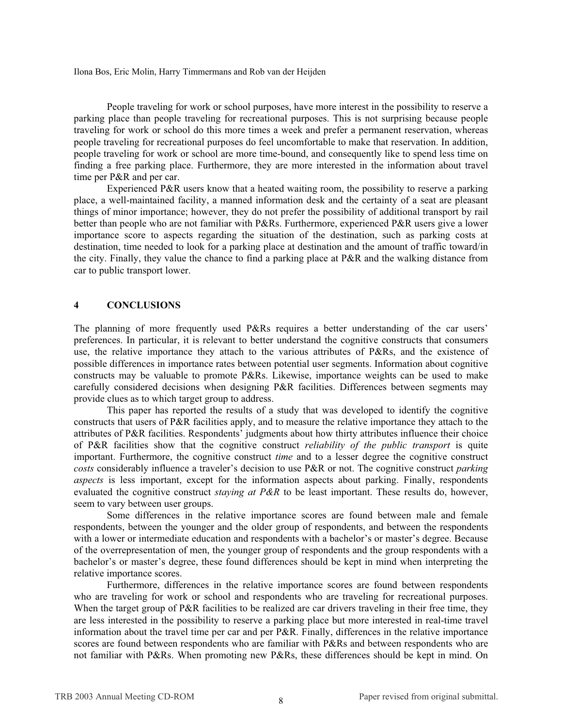People traveling for work or school purposes, have more interest in the possibility to reserve a parking place than people traveling for recreational purposes. This is not surprising because people traveling for work or school do this more times a week and prefer a permanent reservation, whereas people traveling for recreational purposes do feel uncomfortable to make that reservation. In addition, people traveling for work or school are more time-bound, and consequently like to spend less time on finding a free parking place. Furthermore, they are more interested in the information about travel time per P&R and per car.

Experienced P&R users know that a heated waiting room, the possibility to reserve a parking place, a well-maintained facility, a manned information desk and the certainty of a seat are pleasant things of minor importance; however, they do not prefer the possibility of additional transport by rail better than people who are not familiar with P&Rs. Furthermore, experienced P&R users give a lower importance score to aspects regarding the situation of the destination, such as parking costs at destination, time needed to look for a parking place at destination and the amount of traffic toward/in the city. Finally, they value the chance to find a parking place at P&R and the walking distance from car to public transport lower.

#### **4 CONCLUSIONS**

The planning of more frequently used P&Rs requires a better understanding of the car users' preferences. In particular, it is relevant to better understand the cognitive constructs that consumers use, the relative importance they attach to the various attributes of P&Rs, and the existence of possible differences in importance rates between potential user segments. Information about cognitive constructs may be valuable to promote P&Rs. Likewise, importance weights can be used to make carefully considered decisions when designing P&R facilities. Differences between segments may provide clues as to which target group to address.

This paper has reported the results of a study that was developed to identify the cognitive constructs that users of P&R facilities apply, and to measure the relative importance they attach to the attributes of P&R facilities. Respondents' judgments about how thirty attributes influence their choice of P&R facilities show that the cognitive construct *reliability of the public transport* is quite important. Furthermore, the cognitive construct *time* and to a lesser degree the cognitive construct *costs* considerably influence a traveler's decision to use P&R or not. The cognitive construct *parking aspects* is less important, except for the information aspects about parking. Finally, respondents evaluated the cognitive construct *staying at P&R* to be least important. These results do, however, seem to vary between user groups.

Some differences in the relative importance scores are found between male and female respondents, between the younger and the older group of respondents, and between the respondents with a lower or intermediate education and respondents with a bachelor's or master's degree. Because of the overrepresentation of men, the younger group of respondents and the group respondents with a bachelor's or master's degree, these found differences should be kept in mind when interpreting the relative importance scores.

Furthermore, differences in the relative importance scores are found between respondents who are traveling for work or school and respondents who are traveling for recreational purposes. When the target group of P&R facilities to be realized are car drivers traveling in their free time, they are less interested in the possibility to reserve a parking place but more interested in real-time travel information about the travel time per car and per P&R. Finally, differences in the relative importance scores are found between respondents who are familiar with P&Rs and between respondents who are not familiar with P&Rs. When promoting new P&Rs, these differences should be kept in mind. On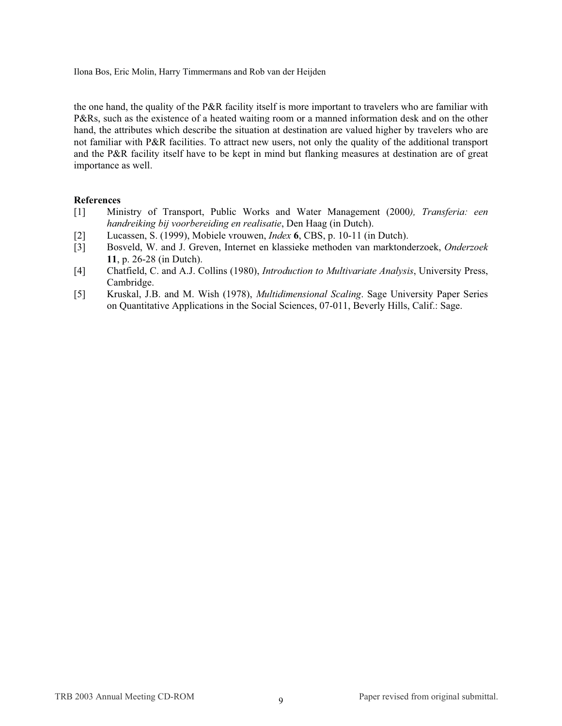the one hand, the quality of the P&R facility itself is more important to travelers who are familiar with P&Rs, such as the existence of a heated waiting room or a manned information desk and on the other hand, the attributes which describe the situation at destination are valued higher by travelers who are not familiar with P&R facilities. To attract new users, not only the quality of the additional transport and the P&R facility itself have to be kept in mind but flanking measures at destination are of great importance as well.

## **References**

- [1] Ministry of Transport, Public Works and Water Management (2000*), Transferia: een handreiking bij voorbereiding en realisatie*, Den Haag (in Dutch).
- [2] Lucassen, S. (1999), Mobiele vrouwen, *Index* **6**, CBS, p. 10-11 (in Dutch).
- [3] Bosveld, W. and J. Greven, Internet en klassieke methoden van marktonderzoek, *Onderzoek*  **11**, p. 26-28 (in Dutch).
- [4] Chatfield, C. and A.J. Collins (1980), *Introduction to Multivariate Analysis*, University Press, Cambridge.
- [5] Kruskal, J.B. and M. Wish (1978), *Multidimensional Scaling*. Sage University Paper Series on Quantitative Applications in the Social Sciences, 07-011, Beverly Hills, Calif.: Sage.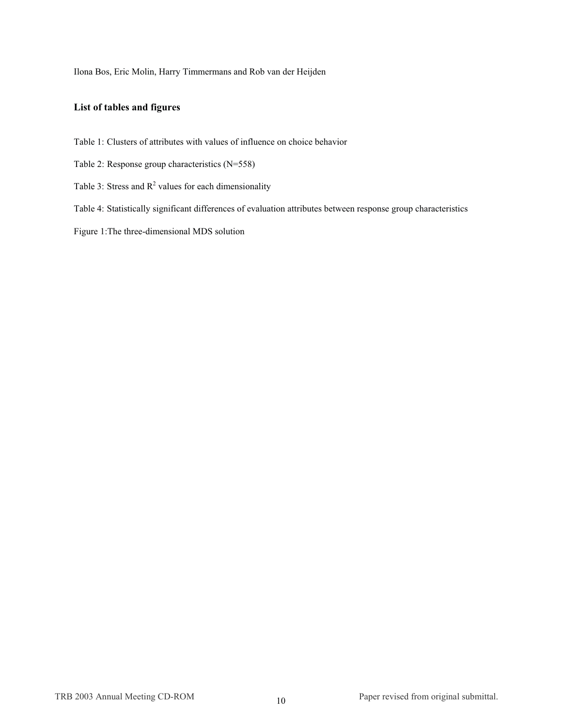## **List of tables and figures**

- Table 1: Clusters of attributes with values of influence on choice behavior
- Table 2: Response group characteristics (N=558)
- Table 3: Stress and  $R^2$  values for each dimensionality
- Table 4: Statistically significant differences of evaluation attributes between response group characteristics
- Figure 1:The three-dimensional MDS solution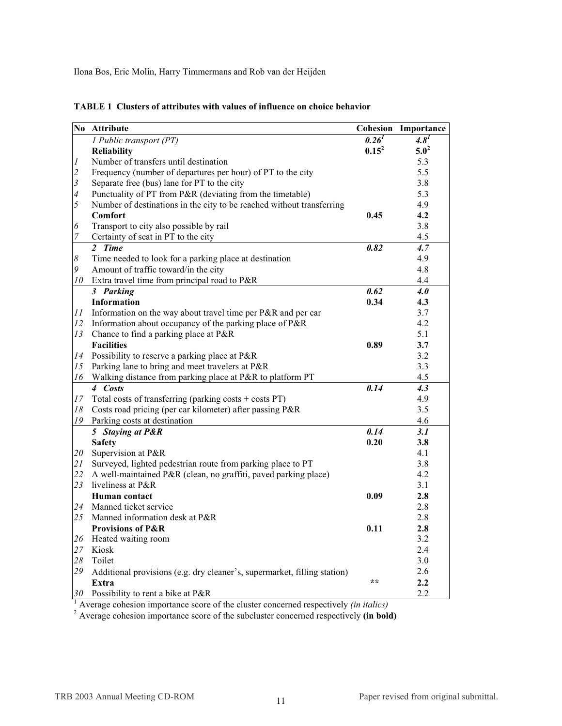|                         | No Attribute                                                                             |            | <b>Cohesion Importance</b> |
|-------------------------|------------------------------------------------------------------------------------------|------------|----------------------------|
|                         | 1 Public transport (PT)                                                                  | $0.26^{1}$ | $4.8^{1}$                  |
|                         | Reliability                                                                              | $0.15^2$   | $5.0^2$                    |
| 1                       | Number of transfers until destination                                                    |            | 5.3                        |
| $\overline{\mathbf{c}}$ | Frequency (number of departures per hour) of PT to the city                              |            | 5.5                        |
| 3                       | Separate free (bus) lane for PT to the city                                              |            | 3.8                        |
| $\boldsymbol{4}$        | Punctuality of PT from P&R (deviating from the timetable)                                |            | 5.3                        |
| 5                       | Number of destinations in the city to be reached without transferring                    |            | 4.9                        |
|                         | <b>Comfort</b>                                                                           | 0.45       | 4.2                        |
| 6                       | Transport to city also possible by rail                                                  |            | 3.8                        |
| 7                       | Certainty of seat in PT to the city                                                      |            | 4.5                        |
|                         | 2 Time                                                                                   | 0.82       | 4.7                        |
| 8                       | Time needed to look for a parking place at destination                                   |            | 4.9                        |
| 9                       | Amount of traffic toward/in the city                                                     |            | 4.8                        |
| 10                      | Extra travel time from principal road to P&R                                             |            | 4.4                        |
|                         | 3 Parking                                                                                | 0.62       | 4.0                        |
|                         | <b>Information</b>                                                                       | 0.34       | 4.3                        |
| 11                      | Information on the way about travel time per P&R and per car                             |            | 3.7                        |
| 12                      | Information about occupancy of the parking place of P&R                                  |            | 4.2                        |
| 13                      | Chance to find a parking place at P&R                                                    |            | 5.1                        |
|                         | <b>Facilities</b>                                                                        | 0.89       | 3.7                        |
| 14                      | Possibility to reserve a parking place at P&R                                            |            | 3.2                        |
| 15                      | Parking lane to bring and meet travelers at P&R                                          |            | 3.3                        |
| 16                      | Walking distance from parking place at P&R to platform PT                                |            | 4.5                        |
|                         | 4 Costs                                                                                  | 0.14       | 4.3                        |
| 17                      | Total costs of transferring (parking costs $+$ costs PT)                                 |            | 4.9                        |
| 18                      | Costs road pricing (per car kilometer) after passing P&R                                 |            | 3.5                        |
| 19                      | Parking costs at destination                                                             |            | 4.6                        |
|                         | 5 Staying at P&R                                                                         | 0.14       | 3.1                        |
|                         | <b>Safety</b>                                                                            | 0.20       | 3.8                        |
| 20                      | Supervision at P&R                                                                       |            | 4.1                        |
| 21                      | Surveyed, lighted pedestrian route from parking place to PT                              |            | 3.8                        |
| 22                      | A well-maintained P&R (clean, no graffiti, paved parking place)                          |            | 4.2                        |
| 23                      | liveliness at P&R                                                                        |            | 3.1                        |
|                         | <b>Human</b> contact                                                                     | 0.09       | 2.8                        |
| 24                      | Manned ticket service                                                                    |            | 2.8                        |
| 25                      | Manned information desk at P&R                                                           |            | 2.8                        |
|                         | <b>Provisions of P&amp;R</b>                                                             | 0.11       | 2.8                        |
| 26                      | Heated waiting room                                                                      |            | 3.2                        |
| 27                      | Kiosk                                                                                    |            | 2.4                        |
| 28                      | Toilet                                                                                   |            | 3.0                        |
| 29                      | Additional provisions (e.g. dry cleaner's, supermarket, filling station)                 |            | 2.6                        |
|                         | Extra                                                                                    | $**$       | 2.2                        |
| 30                      | Possibility to rent a bike at P&R                                                        |            | 2.2                        |
|                         | Average cohesion importance score of the cluster concerned respectively (in italics)     |            |                            |
|                         | $2$ Average cohesion importance score of the subcluster concerned respectively (in bold) |            |                            |

| <b>TABLE 1 Clusters of attributes with values of influence on choice behavior</b> |
|-----------------------------------------------------------------------------------|
|-----------------------------------------------------------------------------------|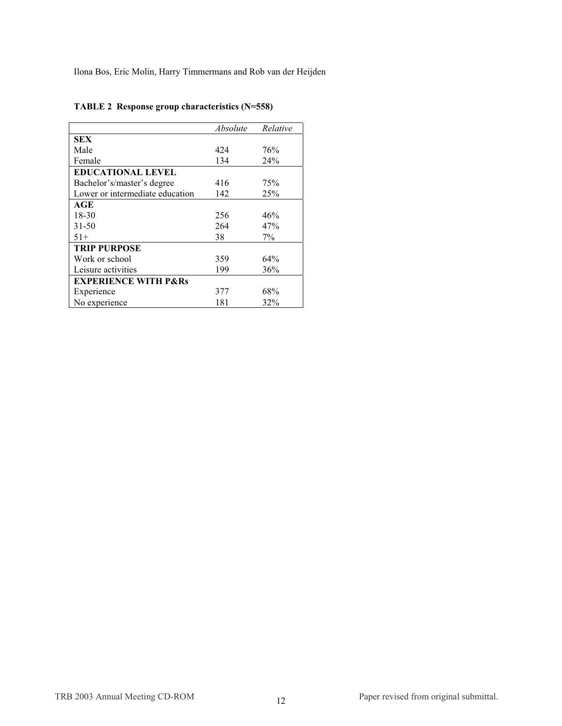|  |  |  | TABLE 2 Response group characteristics (N=558) |  |
|--|--|--|------------------------------------------------|--|
|--|--|--|------------------------------------------------|--|

|                                 | <i>Absolute</i> | Relative |
|---------------------------------|-----------------|----------|
| SEX                             |                 |          |
| Male                            | 424             | 76%      |
| Female                          | 134             | 24%      |
| <b>EDUCATIONAL LEVEL</b>        |                 |          |
| Bachelor's/master's degree      | 416             | 75%      |
| Lower or intermediate education | 142             | 25%      |
| AGE                             |                 |          |
| 18-30                           | 256             | 46%      |
| $31 - 50$                       | 264             | 47%      |
| $51+$                           | 38              | $7\%$    |
| <b>TRIP PURPOSE</b>             |                 |          |
| Work or school                  | 359             | 64%      |
| Leisure activities              | 199             | 36%      |
| <b>EXPERIENCE WITH P&amp;Rs</b> |                 |          |
| Experience                      | 377             | 68%      |
| No experience                   | 181             | 32%      |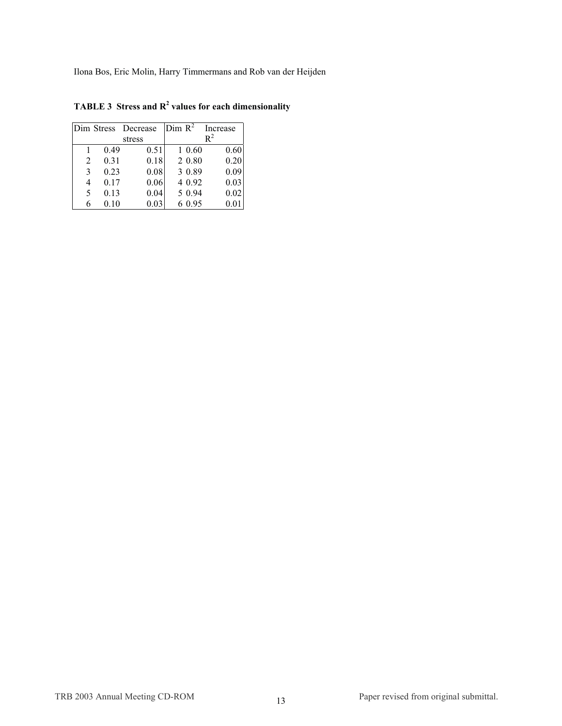|   |      | Dim Stress Decrease | Dim $R^2$ |        | Increase       |
|---|------|---------------------|-----------|--------|----------------|
|   |      | stress              |           |        | $\mathsf{R}^2$ |
|   | 0.49 | 0.51                |           | 1 0.60 | 0.60           |
| 2 | 0.31 | 0.18                |           | 2 0.80 | 0.20           |
| 3 | 0.23 | 0.08                |           | 3 0.89 | 0.09           |
|   | 0.17 | 0.06                |           | 4 0.92 | 0.03           |
| 5 | 0.13 | 0.04                |           | 5 0.94 | 0.02           |
|   | 0.10 | 0.03                |           | 6 0.95 |                |

**TABLE 3 Stress and R<sup>2</sup> values for each dimensionality**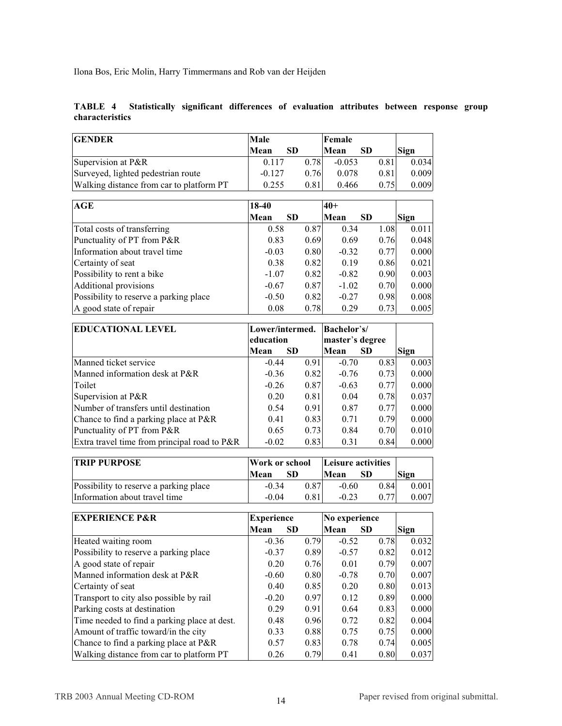| TABLE 4 Statistically significant differences of evaluation attributes between response group |  |  |  |  |  |
|-----------------------------------------------------------------------------------------------|--|--|--|--|--|
| characteristics                                                                               |  |  |  |  |  |

| <b>GENDER</b>                            | Male     |      | Female   |      |       |
|------------------------------------------|----------|------|----------|------|-------|
|                                          | Mean     | SD   | Mean     | SD   | Sign  |
| Supervision at P&R                       | 0.117    | 0.78 | $-0.053$ | 0.81 | 0.034 |
| Surveyed, lighted pedestrian route       | $-0.127$ | 0.76 | 0.078    | 0.81 | 0.009 |
| Walking distance from car to platform PT | 0.255    | 0.81 | 0.466    | 0.75 | 0.009 |

| AGE                                    | 18-40   |           | $40+$   |           |             |
|----------------------------------------|---------|-----------|---------|-----------|-------------|
|                                        | Mean    | <b>SD</b> | Mean    | <b>SD</b> | <b>Sign</b> |
| Total costs of transferring            | 0.58    | 0.87      | 0.34    | 1.08      | 0.011       |
| Punctuality of PT from P&R             | 0.83    | 0.69      | 0.69    | 0.76      | 0.048       |
| Information about travel time          | $-0.03$ | 0.80      | $-0.32$ | 0.77      | 0.000       |
| Certainty of seat                      | 0.38    | 0.82      | 0.19    | 0.86      | 0.021       |
| Possibility to rent a bike             | $-1.07$ | 0.82      | $-0.82$ | 0.90      | 0.003       |
| Additional provisions                  | $-0.67$ | 0.87      | $-1.02$ | 0.70      | 0.000       |
| Possibility to reserve a parking place | $-0.50$ | 0.82      | $-0.27$ | 0.98      | 0.008       |
| A good state of repair                 | 0.08    | 0.78      | 0.29    | 0.73      | 0.005       |

| <b>EDUCATIONAL LEVEL</b>                     | Lower/intermed.<br>leducation |           | Bachelor's/<br>master's degree |           |             |
|----------------------------------------------|-------------------------------|-----------|--------------------------------|-----------|-------------|
|                                              | Mean                          | <b>SD</b> | Mean                           | <b>SD</b> | <b>Sign</b> |
| Manned ticket service                        | $-0.44$                       | 0.91      | $-0.70$                        | 0.83      | 0.003       |
| Manned information desk at P&R               | $-0.36$                       | 0.82      | $-0.76$                        | 0.73      | 0.000       |
| Toilet                                       | $-0.26$                       | 0.87      | $-0.63$                        | 0.77      | 0.000       |
| Supervision at P&R                           | 0.20                          | 0.81      | 0.04                           | 0.78      | 0.037       |
| Number of transfers until destination        | 0.54                          | 0.91      | 0.87                           | 0.77      | 0.000       |
| Chance to find a parking place at P&R        | 0.41                          | 0.83      | 0.71                           | 0.79      | 0.000       |
| Punctuality of PT from P&R                   | 0.65                          | 0.73      | 0.84                           | 0.70      | 0.010       |
| Extra travel time from principal road to P&R | $-0.02$                       | 0.83      | 0.31                           | 0.84      | 0.000       |

| <b>TRIP PURPOSE</b>                    | Work or school |      | Leisure activities |      |       |
|----------------------------------------|----------------|------|--------------------|------|-------|
|                                        | Mean           | SD   | Mean               | SD.  | Sign  |
| Possibility to reserve a parking place | $-0.34$        | 0.87 | $-0.60$            | 0.84 | 0.001 |
| Information about travel time          | $-0.04$        | 0.81 | $-0.23$            |      | 0.007 |

| <b>EXPERIENCE P&amp;R</b>                    | <b>Experience</b> |           | No experience |           |             |
|----------------------------------------------|-------------------|-----------|---------------|-----------|-------------|
|                                              | Mean              | <b>SD</b> | Mean          | <b>SD</b> | <b>Sign</b> |
| Heated waiting room                          | $-0.36$           | 0.79      | $-0.52$       | 0.78      | 0.032       |
| Possibility to reserve a parking place       | $-0.37$           | 0.89      | $-0.57$       | 0.82      | 0.012       |
| A good state of repair                       | 0.20              | 0.76      | 0.01          | 0.79      | 0.007       |
| Manned information desk at P&R               | $-0.60$           | 0.80      | $-0.78$       | 0.70      | 0.007       |
| Certainty of seat                            | 0.40              | 0.85      | 0.20          | 0.80      | 0.013       |
| Transport to city also possible by rail      | $-0.20$           | 0.97      | 0.12          | 0.89      | 0.000       |
| Parking costs at destination                 | 0.29              | 0.91      | 0.64          | 0.83      | 0.000       |
| Time needed to find a parking place at dest. | 0.48              | 0.96      | 0.72          | 0.82      | 0.004       |
| Amount of traffic toward/in the city         | 0.33              | 0.88      | 0.75          | 0.75      | 0.000       |
| Chance to find a parking place at P&R        | 0.57              | 0.83      | 0.78          | 0.74      | 0.005       |
| Walking distance from car to platform PT     | 0.26              | 0.79      | 0.41          | 0.80      | 0.037       |